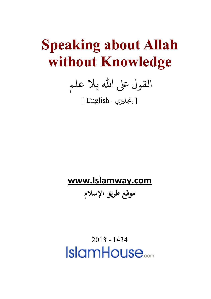## **Speaking about Allah without Knowledge**

القول على الله بلا علم

[ إ�ل�ي - English[

## **[www.Islamway.com](http://www.islamway.com/)**

**موقع طريق الإسلام**

2013 - 1434**IslamHouse**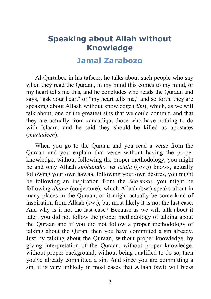## **Speaking about Allah without Knowledge**

## **[Jamal Zarabozo](http://en.islamway.net/scholar/1912)**

Al-Qurtubee in his tafseer, he talks about such people who say when they read the Quraan, in my mind this comes to my mind, or my heart tells me this, and he concludes who reads the Quraan and says, "ask your heart" or "my heart tells me," and so forth, they are speaking about Allaah without knowledge (*'ilm*), which, as we will talk about, one of the greatest sins that we could commit, and that they are actually from zanaadiqa, those who have nothing to do with Islaam, and he said they should be killed as apostates (*murtadeen*).

When you go to the Quraan and you read a verse from the Quraan and you explain that verse without having the proper knowledge, without following the proper methodology, you might be and only Allaah *subhanaho wa ta'ala* ((swt)) knows, actually following your own hawaa, following your own desires, you might be following an inspiration from the *Shaytaan*, you might be following *dhann* (conjecture), which Allaah (swt) speaks about in many places in the Quraan, or it might actually be some kind of inspiration from Allaah (swt), but most likely it is not the last case. And why is it not the last case? Because as we will talk about it later, you did not follow the proper methodology of talking about the Quraan and if you did not follow a proper methodology of talking about the Quran, then you have committed a sin already. Just by talking about the Quraan, without proper knowledge, by giving interpretation of the Quraan, without proper knowledge, without proper background, without being qualified to do so, then you've already committed a sin. And since you are committing a sin, it is very unlikely in most cases that Allaah (swt) will bless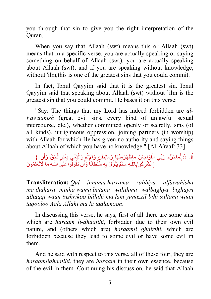you through that sin to give you the right interpretation of the Quran.

When you say that Allaah (swt) means this or Allaah (swt) means that in a specific verse, you are actually speaking or saying something on behalf of Allaah (swt), you are actually speaking about Allaah (swt), and if you are speaking without knowledge, without 'ilm,this is one of the greatest sins that you could commit.

In fact, Ibnul Qayyim said that it is the greatest sin. Ibnul Qayyim said that speaking about Allaah (swt) without `ilm is the greatest sin that you could commit. He bases it on this verse:

"Say: The things that my Lord has indeed forbidden are *al-Fawaahish* (great evil sins, every kind of unlawful sexual intercourse, etc.), whether committed openly or secretly, sins (of all kinds), unrighteous oppression, joining partners (in worship) with Allaah for which He has given no authority and saying things about Allaah of which you have no knowledge." [Al-A'raaf: 33]

ِّقُل ۞إِنَّمَاحَرَّمَ رَبِّيَ الْفَوَاحِشَ مَاظَهَرَمِنْهَا وَمَابَطَنَ وَالْإِثْمِ وَالْبَغْيَ بِغَيْرِ الْحَقِّ وَأَن {<br>. **ٔ** ֦֧֟֓֟֓<u>֓</u>֖֓ َّْ} تُشْرِكُو ابِاللَّـهِ مَالَمْ يُنَزِّلْ بِهِ سُلْطَانًا وَأَن تَقُولُواعَلَىَ اللَّـهِ مَا لَاتَغْلَمُونَ َ

**Transliteration:** *Qul innama harrama rabbiya alfawahisha ma thahara minha wama batana walithma walbaghya bighayri alhaqqi waan tushrikoo billahi ma lam yunazzil bihi sultana waan taqooloo Aala Allahi ma la taalamoon*.

In discussing this verse, he says, first of all there are some sins which are *haraam li-dhaatihi*, forbidden due to their own evil nature, and (others which are) *haraamli ghairihi*, which are forbidden because they lead to some evil or have some evil in them.

And he said with respect to this verse, all of these four, they are *haraamlidhaatihi*, they are *haraam* in their own essence, because of the evil in them. Continuing his discussion, he said that Allaah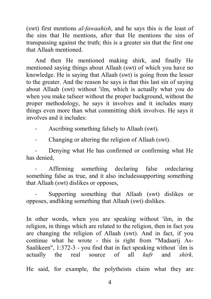(swt) first mentions *al-fawaahish*, and he says this is the least of the sins that He mentions, after that He mentions the sins of transpassing against the truth; this is a greater sin that the first one that Allaah mentioned.

And then He mentioned making shirk, and finally He mentioned saying things about Allaah (swt) of which you have no knowledge. He is saying that Allaah (swt) is going from the lesser to the greater. And the reason he says is that this last sin of saying about Allaah (swt) without 'ilm, which is actually what you do when you make tafseer without the proper background, without the proper methodology, he says it involves and it includes many things even more than what committing shirk involves. He says it involves and it includes:

- Ascribing something falsely to Allaah (swt).

- Changing or altering the religion of Allaah (swt).

Denying what He has confirmed or confirming what He has denied,

Affirming something declaring false ordeclaring something false as true, and it also includes supporting something that Allaah (swt) dislikes or opposes,

Supporting something that Allaah (swt) dislikes or opposes, andliking something that Allaah (swt) dislikes.

In other words, when you are speaking without 'ilm, in the religion, in things which are related to the religion, then in fact you are changing the religion of Allaah (swt). And in fact, if you continue what he wrote - this is right from "Madaarij As-Saalikeen", 1:372-3 - you find that in fact speaking without 'ilm is actually the real source of all *kufr* and *shirk*.

He said, for example, the polytheists claim what they are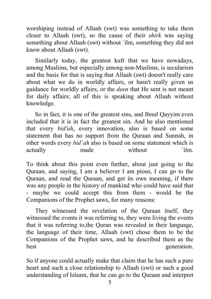worshiping instead of Allaah (swt) was something to take them closer to Allaah (swt), so the cause of their *shirk* was saying something about Allaah (swt) without `ilm, something they did not know about Allaah (swt).

Similarly today, the greatest kufr that we have nowadays, among Muslims, but especially among non-Muslims, is secularism and the basis for that is saying that Allaah (swt) doesn't really care about what we do in worldly affairs, or hasn't really given us guidance for worldly affairs, or the *deen* that He sent is not meant for daily affairs; all of this is speaking about Allaah without knowledge.

So in fact, it is one of the greatest sins, and Ibnul Qayyim even included that it is in fact the greatest sin. And he also mentioned that every *bid'ah*, every innovation, also is based on some statement that has no support from the Quraan and Sunnah, in other words every *bid`ah* also is based on some statement which is actually made without `ilm.

To think about this point even further, about just going to the Quraan, and saying, I am a believer I am pious, I can go to the Quraan, and read the Quraan, and get its own meaning, if there was any people in the history of mankind who could have said that - maybe we could accept this from them - would be the Companions of the Prophet saws, for many reasons:

They witnessed the revelation of the Quraan itself, they witnessed the events it was referring to, they were living the events that it was referring to,the Quran was revealed in their language, the language of their time, Allaah (swt) chose them to be the Companions of the Prophet saws, and he described them as the best generation.

So if anyone could actually make that claim that he has such a pure heart and such a close relationship to Allaah (swt) or such a good understanding of Islaam, that he can go to the Quraan and interpret